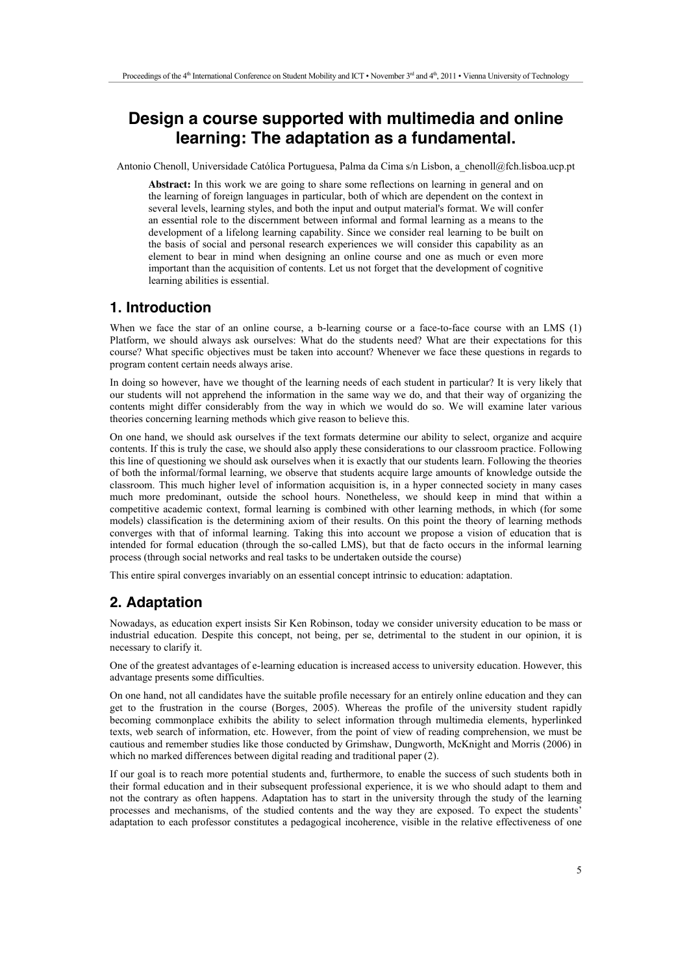# **Design a course supported with multimedia and online learning: The adaptation as a fundamental.**

Antonio Chenoll, Universidade Católica Portuguesa, Palma da Cima s/n Lisbon, a\_chenoll@fch.lisboa.ucp.pt

**Abstract:** In this work we are going to share some reflections on learning in general and on the learning of foreign languages in particular, both of which are dependent on the context in several levels, learning styles, and both the input and output material's format. We will confer an essential role to the discernment between informal and formal learning as a means to the development of a lifelong learning capability. Since we consider real learning to be built on the basis of social and personal research experiences we will consider this capability as an element to bear in mind when designing an online course and one as much or even more important than the acquisition of contents. Let us not forget that the development of cognitive learning abilities is essential.

# **1. Introduction**

When we face the star of an online course, a b-learning course or a face-to-face course with an LMS (1) Platform, we should always ask ourselves: What do the students need? What are their expectations for this course? What specific objectives must be taken into account? Whenever we face these questions in regards to program content certain needs always arise.

In doing so however, have we thought of the learning needs of each student in particular? It is very likely that our students will not apprehend the information in the same way we do, and that their way of organizing the contents might differ considerably from the way in which we would do so. We will examine later various theories concerning learning methods which give reason to believe this.

On one hand, we should ask ourselves if the text formats determine our ability to select, organize and acquire contents. If this is truly the case, we should also apply these considerations to our classroom practice. Following this line of questioning we should ask ourselves when it is exactly that our students learn. Following the theories of both the informal/formal learning, we observe that students acquire large amounts of knowledge outside the classroom. This much higher level of information acquisition is, in a hyper connected society in many cases much more predominant, outside the school hours. Nonetheless, we should keep in mind that within a competitive academic context, formal learning is combined with other learning methods, in which (for some models) classification is the determining axiom of their results. On this point the theory of learning methods converges with that of informal learning. Taking this into account we propose a vision of education that is intended for formal education (through the so-called LMS), but that de facto occurs in the informal learning process (through social networks and real tasks to be undertaken outside the course)

This entire spiral converges invariably on an essential concept intrinsic to education: adaptation.

# **2. Adaptation**

Nowadays, as education expert insists Sir Ken Robinson, today we consider university education to be mass or industrial education. Despite this concept, not being, per se, detrimental to the student in our opinion, it is necessary to clarify it.

One of the greatest advantages of e-learning education is increased access to university education. However, this advantage presents some difficulties.

On one hand, not all candidates have the suitable profile necessary for an entirely online education and they can get to the frustration in the course (Borges, 2005). Whereas the profile of the university student rapidly becoming commonplace exhibits the ability to select information through multimedia elements, hyperlinked texts, web search of information, etc. However, from the point of view of reading comprehension, we must be cautious and remember studies like those conducted by Grimshaw, Dungworth, McKnight and Morris (2006) in which no marked differences between digital reading and traditional paper (2).

If our goal is to reach more potential students and, furthermore, to enable the success of such students both in their formal education and in their subsequent professional experience, it is we who should adapt to them and not the contrary as often happens. Adaptation has to start in the university through the study of the learning processes and mechanisms, of the studied contents and the way they are exposed. To expect the students' adaptation to each professor constitutes a pedagogical incoherence, visible in the relative effectiveness of one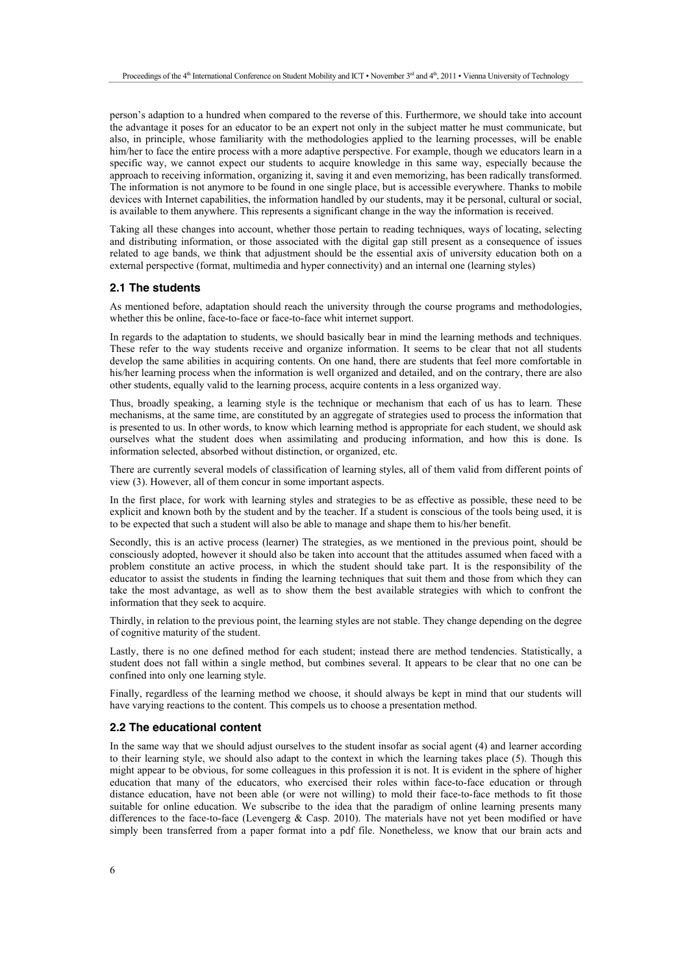person's adaption to a hundred when compared to the reverse of this. Furthermore, we should take into account the advantage it poses for an educator to be an expert not only in the subject matter he must communicate, but also, in principle, whose familiarity with the methodologies applied to the learning processes, will be enable him/her to face the entire process with a more adaptive perspective. For example, though we educators learn in a specific way, we cannot expect our students to acquire knowledge in this same way, especially because the approach to receiving information, organizing it, saving it and even memorizing, has been radically transformed. The information is not anymore to be found in one single place, but is accessible everywhere. Thanks to mobile devices with Internet capabilities, the information handled by our students, may it be personal, cultural or social, is available to them anywhere. This represents a significant change in the way the information is received.

Taking all these changes into account, whether those pertain to reading techniques, ways of locating, selecting and distributing information, or those associated with the digital gap still present as a consequence of issues related to age bands, we think that adjustment should be the essential axis of university education both on a external perspective (format, multimedia and hyper connectivity) and an internal one (learning styles)

#### **2.1 The students**

As mentioned before, adaptation should reach the university through the course programs and methodologies, whether this be online, face-to-face or face-to-face whit internet support.

In regards to the adaptation to students, we should basically bear in mind the learning methods and techniques. These refer to the way students receive and organize information. It seems to be clear that not all students develop the same abilities in acquiring contents. On one hand, there are students that feel more comfortable in his/her learning process when the information is well organized and detailed, and on the contrary, there are also other students, equally valid to the learning process, acquire contents in a less organized way.

Thus, broadly speaking, a learning style is the technique or mechanism that each of us has to learn. These mechanisms, at the same time, are constituted by an aggregate of strategies used to process the information that is presented to us. In other words, to know which learning method is appropriate for each student, we should ask ourselves what the student does when assimilating and producing information, and how this is done. Is information selected, absorbed without distinction, or organized, etc.

There are currently several models of classification of learning styles, all of them valid from different points of view (3). However, all of them concur in some important aspects.

In the first place, for work with learning styles and strategies to be as effective as possible, these need to be explicit and known both by the student and by the teacher. If a student is conscious of the tools being used, it is to be expected that such a student will also be able to manage and shape them to his/her benefit.

Secondly, this is an active process (learner) The strategies, as we mentioned in the previous point, should be consciously adopted, however it should also be taken into account that the attitudes assumed when faced with a problem constitute an active process, in which the student should take part. It is the responsibility of the educator to assist the students in finding the learning techniques that suit them and those from which they can take the most advantage, as well as to show them the best available strategies with which to confront the information that they seek to acquire.

Thirdly, in relation to the previous point, the learning styles are not stable. They change depending on the degree of cognitive maturity of the student.

Lastly, there is no one defined method for each student; instead there are method tendencies. Statistically, a student does not fall within a single method, but combines several. It appears to be clear that no one can be confined into only one learning style.

Finally, regardless of the learning method we choose, it should always be kept in mind that our students will have varying reactions to the content. This compels us to choose a presentation method.

### **2.2 The educational content**

In the same way that we should adjust ourselves to the student insofar as social agent (4) and learner according to their learning style, we should also adapt to the context in which the learning takes place (5). Though this might appear to be obvious, for some colleagues in this profession it is not. It is evident in the sphere of higher education that many of the educators, who exercised their roles within face-to-face education or through distance education, have not been able (or were not willing) to mold their face-to-face methods to fit those suitable for online education. We subscribe to the idea that the paradigm of online learning presents many differences to the face-to-face (Levengerg  $& Casp. 2010$ ). The materials have not yet been modified or have simply been transferred from a paper format into a pdf file. Nonetheless, we know that our brain acts and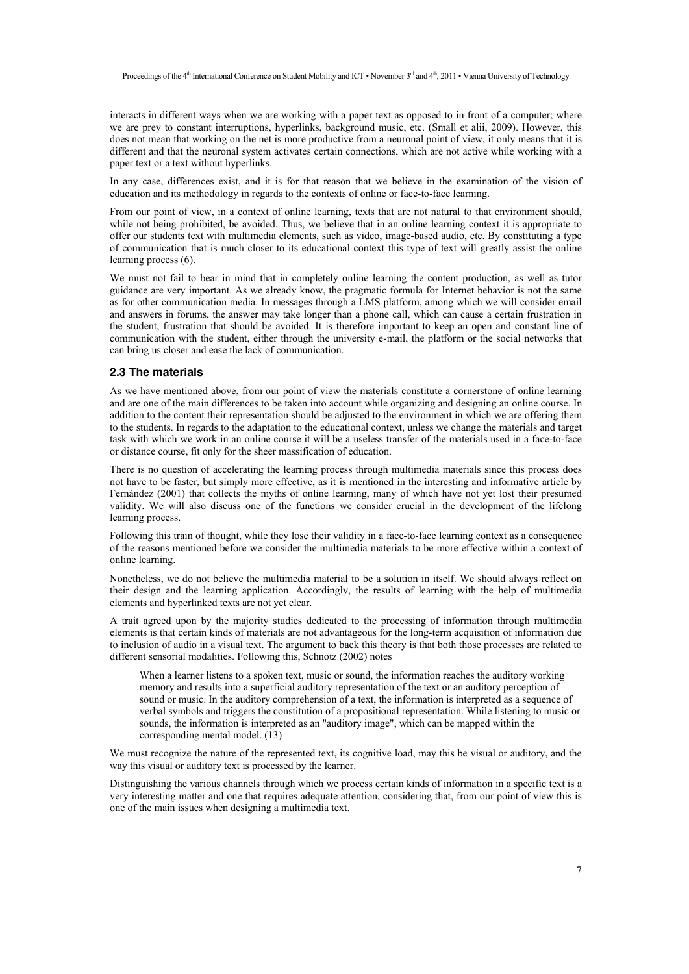interacts in different ways when we are working with a paper text as opposed to in front of a computer; where we are prey to constant interruptions, hyperlinks, background music, etc. (Small et alii, 2009). However, this does not mean that working on the net is more productive from a neuronal point of view, it only means that it is different and that the neuronal system activates certain connections, which are not active while working with a paper text or a text without hyperlinks.

In any case, differences exist, and it is for that reason that we believe in the examination of the vision of education and its methodology in regards to the contexts of online or face-to-face learning.

From our point of view, in a context of online learning, texts that are not natural to that environment should, while not being prohibited, be avoided. Thus, we believe that in an online learning context it is appropriate to offer our students text with multimedia elements, such as video, image-based audio, etc. By constituting a type of communication that is much closer to its educational context this type of text will greatly assist the online learning process (6).

We must not fail to bear in mind that in completely online learning the content production, as well as tutor guidance are very important. As we already know, the pragmatic formula for Internet behavior is not the same as for other communication media. In messages through a LMS platform, among which we will consider email and answers in forums, the answer may take longer than a phone call, which can cause a certain frustration in the student, frustration that should be avoided. It is therefore important to keep an open and constant line of communication with the student, either through the university e-mail, the platform or the social networks that can bring us closer and ease the lack of communication.

### **2.3 The materials**

As we have mentioned above, from our point of view the materials constitute a cornerstone of online learning and are one of the main differences to be taken into account while organizing and designing an online course. In addition to the content their representation should be adjusted to the environment in which we are offering them to the students. In regards to the adaptation to the educational context, unless we change the materials and target task with which we work in an online course it will be a useless transfer of the materials used in a face-to-face or distance course, fit only for the sheer massification of education.

There is no question of accelerating the learning process through multimedia materials since this process does not have to be faster, but simply more effective, as it is mentioned in the interesting and informative article by Fernández (2001) that collects the myths of online learning, many of which have not yet lost their presumed validity. We will also discuss one of the functions we consider crucial in the development of the lifelong learning process.

Following this train of thought, while they lose their validity in a face-to-face learning context as a consequence of the reasons mentioned before we consider the multimedia materials to be more effective within a context of online learning.

Nonetheless, we do not believe the multimedia material to be a solution in itself. We should always reflect on their design and the learning application. Accordingly, the results of learning with the help of multimedia elements and hyperlinked texts are not yet clear.

A trait agreed upon by the majority studies dedicated to the processing of information through multimedia elements is that certain kinds of materials are not advantageous for the long-term acquisition of information due to inclusion of audio in a visual text. The argument to back this theory is that both those processes are related to different sensorial modalities. Following this, Schnotz (2002) notes

When a learner listens to a spoken text, music or sound, the information reaches the auditory working memory and results into a superficial auditory representation of the text or an auditory perception of sound or music. In the auditory comprehension of a text, the information is interpreted as a sequence of verbal symbols and triggers the constitution of a propositional representation. While listening to music or sounds, the information is interpreted as an "auditory image", which can be mapped within the corresponding mental model. (13)

We must recognize the nature of the represented text, its cognitive load, may this be visual or auditory, and the way this visual or auditory text is processed by the learner.

Distinguishing the various channels through which we process certain kinds of information in a specific text is a very interesting matter and one that requires adequate attention, considering that, from our point of view this is one of the main issues when designing a multimedia text.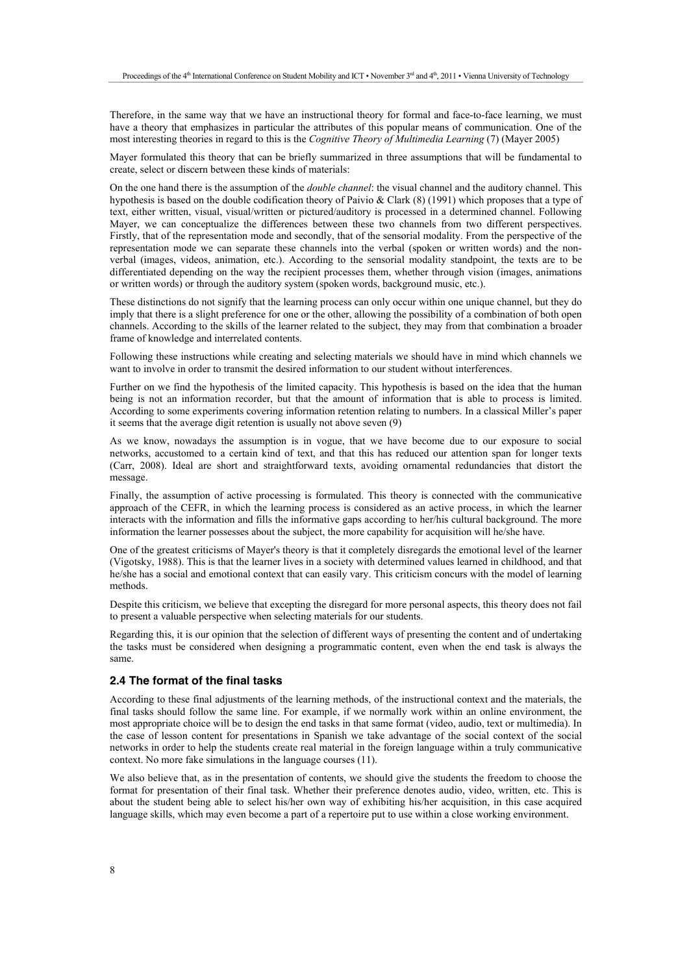Therefore, in the same way that we have an instructional theory for formal and face-to-face learning, we must have a theory that emphasizes in particular the attributes of this popular means of communication. One of the most interesting theories in regard to this is the *Cognitive Theory of Multimedia Learning* (7) (Mayer 2005)

Mayer formulated this theory that can be briefly summarized in three assumptions that will be fundamental to create, select or discern between these kinds of materials:

On the one hand there is the assumption of the *double channel*: the visual channel and the auditory channel. This hypothesis is based on the double codification theory of Paivio & Clark (8) (1991) which proposes that a type of text, either written, visual, visual/written or pictured/auditory is processed in a determined channel. Following Mayer, we can conceptualize the differences between these two channels from two different perspectives. Firstly, that of the representation mode and secondly, that of the sensorial modality. From the perspective of the representation mode we can separate these channels into the verbal (spoken or written words) and the nonverbal (images, videos, animation, etc.). According to the sensorial modality standpoint, the texts are to be differentiated depending on the way the recipient processes them, whether through vision (images, animations or written words) or through the auditory system (spoken words, background music, etc.).

These distinctions do not signify that the learning process can only occur within one unique channel, but they do imply that there is a slight preference for one or the other, allowing the possibility of a combination of both open channels. According to the skills of the learner related to the subject, they may from that combination a broader frame of knowledge and interrelated contents.

Following these instructions while creating and selecting materials we should have in mind which channels we want to involve in order to transmit the desired information to our student without interferences.

Further on we find the hypothesis of the limited capacity. This hypothesis is based on the idea that the human being is not an information recorder, but that the amount of information that is able to process is limited. According to some experiments covering information retention relating to numbers. In a classical Miller's paper it seems that the average digit retention is usually not above seven (9)

As we know, nowadays the assumption is in vogue, that we have become due to our exposure to social networks, accustomed to a certain kind of text, and that this has reduced our attention span for longer texts (Carr, 2008). Ideal are short and straightforward texts, avoiding ornamental redundancies that distort the message.

Finally, the assumption of active processing is formulated. This theory is connected with the communicative approach of the CEFR, in which the learning process is considered as an active process, in which the learner interacts with the information and fills the informative gaps according to her/his cultural background. The more information the learner possesses about the subject, the more capability for acquisition will he/she have.

One of the greatest criticisms of Mayer's theory is that it completely disregards the emotional level of the learner (Vigotsky, 1988). This is that the learner lives in a society with determined values learned in childhood, and that he/she has a social and emotional context that can easily vary. This criticism concurs with the model of learning methods.

Despite this criticism, we believe that excepting the disregard for more personal aspects, this theory does not fail to present a valuable perspective when selecting materials for our students.

Regarding this, it is our opinion that the selection of different ways of presenting the content and of undertaking the tasks must be considered when designing a programmatic content, even when the end task is always the same.

### **2.4 The format of the final tasks**

According to these final adjustments of the learning methods, of the instructional context and the materials, the final tasks should follow the same line. For example, if we normally work within an online environment, the most appropriate choice will be to design the end tasks in that same format (video, audio, text or multimedia). In the case of lesson content for presentations in Spanish we take advantage of the social context of the social networks in order to help the students create real material in the foreign language within a truly communicative context. No more fake simulations in the language courses (11).

We also believe that, as in the presentation of contents, we should give the students the freedom to choose the format for presentation of their final task. Whether their preference denotes audio, video, written, etc. This is about the student being able to select his/her own way of exhibiting his/her acquisition, in this case acquired language skills, which may even become a part of a repertoire put to use within a close working environment.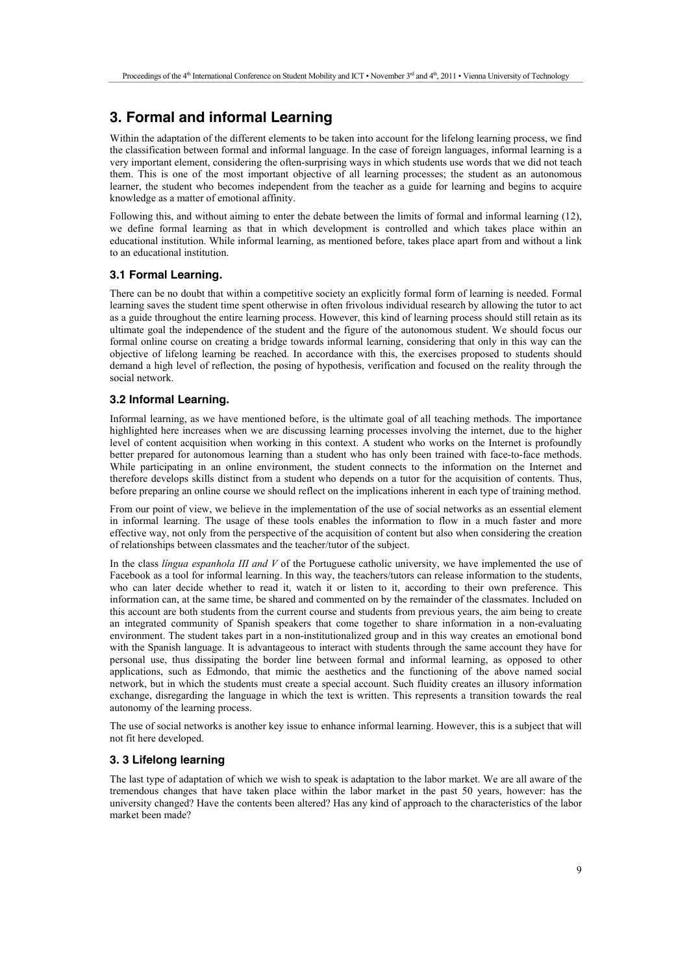# **3. Formal and informal Learning**

Within the adaptation of the different elements to be taken into account for the lifelong learning process, we find the classification between formal and informal language. In the case of foreign languages, informal learning is a very important element, considering the often-surprising ways in which students use words that we did not teach them. This is one of the most important objective of all learning processes; the student as an autonomous learner, the student who becomes independent from the teacher as a guide for learning and begins to acquire knowledge as a matter of emotional affinity.

Following this, and without aiming to enter the debate between the limits of formal and informal learning (12), we define formal learning as that in which development is controlled and which takes place within an educational institution. While informal learning, as mentioned before, takes place apart from and without a link to an educational institution.

#### **3.1 Formal Learning.**

There can be no doubt that within a competitive society an explicitly formal form of learning is needed. Formal learning saves the student time spent otherwise in often frivolous individual research by allowing the tutor to act as a guide throughout the entire learning process. However, this kind of learning process should still retain as its ultimate goal the independence of the student and the figure of the autonomous student. We should focus our formal online course on creating a bridge towards informal learning, considering that only in this way can the objective of lifelong learning be reached. In accordance with this, the exercises proposed to students should demand a high level of reflection, the posing of hypothesis, verification and focused on the reality through the social network.

### **3.2 Informal Learning.**

Informal learning, as we have mentioned before, is the ultimate goal of all teaching methods. The importance highlighted here increases when we are discussing learning processes involving the internet, due to the higher level of content acquisition when working in this context. A student who works on the Internet is profoundly better prepared for autonomous learning than a student who has only been trained with face-to-face methods. While participating in an online environment, the student connects to the information on the Internet and therefore develops skills distinct from a student who depends on a tutor for the acquisition of contents. Thus, before preparing an online course we should reflect on the implications inherent in each type of training method.

From our point of view, we believe in the implementation of the use of social networks as an essential element in informal learning. The usage of these tools enables the information to flow in a much faster and more effective way, not only from the perspective of the acquisition of content but also when considering the creation of relationships between classmates and the teacher/tutor of the subject.

In the class *língua espanhola III and V* of the Portuguese catholic university, we have implemented the use of Facebook as a tool for informal learning. In this way, the teachers/tutors can release information to the students, who can later decide whether to read it, watch it or listen to it, according to their own preference. This information can, at the same time, be shared and commented on by the remainder of the classmates. Included on this account are both students from the current course and students from previous years, the aim being to create an integrated community of Spanish speakers that come together to share information in a non-evaluating environment. The student takes part in a non-institutionalized group and in this way creates an emotional bond with the Spanish language. It is advantageous to interact with students through the same account they have for personal use, thus dissipating the border line between formal and informal learning, as opposed to other applications, such as Edmondo, that mimic the aesthetics and the functioning of the above named social network, but in which the students must create a special account. Such fluidity creates an illusory information exchange, disregarding the language in which the text is written. This represents a transition towards the real autonomy of the learning process.

The use of social networks is another key issue to enhance informal learning. However, this is a subject that will not fit here developed.

### **3. 3 Lifelong learning**

The last type of adaptation of which we wish to speak is adaptation to the labor market. We are all aware of the tremendous changes that have taken place within the labor market in the past 50 years, however: has the university changed? Have the contents been altered? Has any kind of approach to the characteristics of the labor market been made?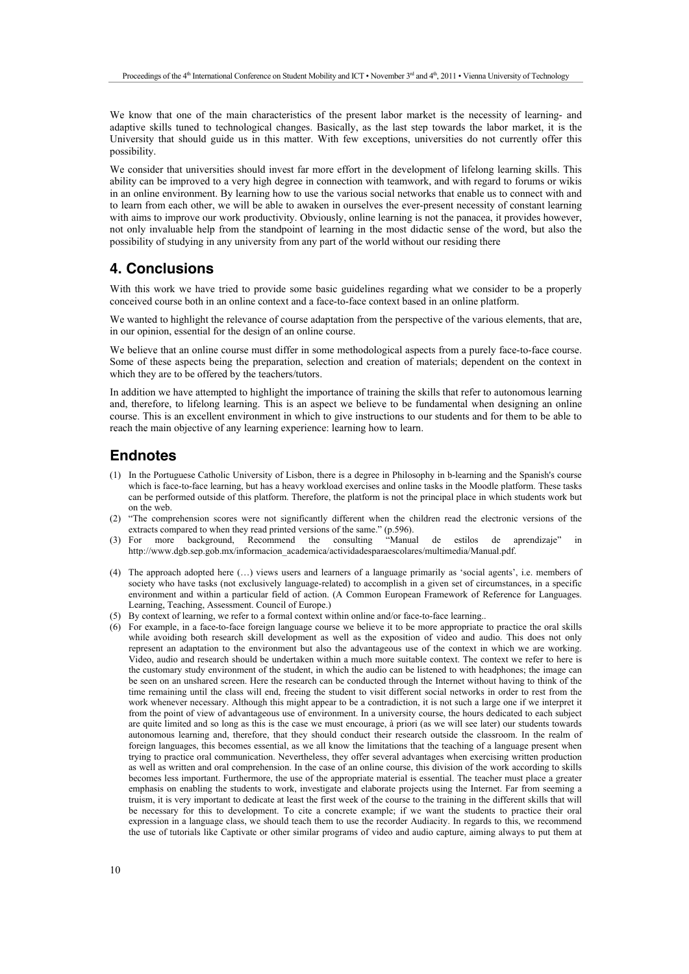We know that one of the main characteristics of the present labor market is the necessity of learning- and adaptive skills tuned to technological changes. Basically, as the last step towards the labor market, it is the University that should guide us in this matter. With few exceptions, universities do not currently offer this possibility.

We consider that universities should invest far more effort in the development of lifelong learning skills. This ability can be improved to a very high degree in connection with teamwork, and with regard to forums or wikis in an online environment. By learning how to use the various social networks that enable us to connect with and to learn from each other, we will be able to awaken in ourselves the ever-present necessity of constant learning with aims to improve our work productivity. Obviously, online learning is not the panacea, it provides however, not only invaluable help from the standpoint of learning in the most didactic sense of the word, but also the possibility of studying in any university from any part of the world without our residing there

## **4. Conclusions**

With this work we have tried to provide some basic guidelines regarding what we consider to be a properly conceived course both in an online context and a face-to-face context based in an online platform.

We wanted to highlight the relevance of course adaptation from the perspective of the various elements, that are, in our opinion, essential for the design of an online course.

We believe that an online course must differ in some methodological aspects from a purely face-to-face course. Some of these aspects being the preparation, selection and creation of materials; dependent on the context in which they are to be offered by the teachers/tutors.

In addition we have attempted to highlight the importance of training the skills that refer to autonomous learning and, therefore, to lifelong learning. This is an aspect we believe to be fundamental when designing an online course. This is an excellent environment in which to give instructions to our students and for them to be able to reach the main objective of any learning experience: learning how to learn.

## **Endnotes**

- (1) In the Portuguese Catholic University of Lisbon, there is a degree in Philosophy in b-learning and the Spanish's course which is face-to-face learning, but has a heavy workload exercises and online tasks in the Moodle platform. These tasks can be performed outside of this platform. Therefore, the platform is not the principal place in which students work but on the web.
- (2) "The comprehension scores were not significantly different when the children read the electronic versions of the extracts compared to when they read printed versions of the same." (p.596).<br>
(3) For more background. Recommend the consulting "Manual"
- more background, Recommend the consulting "Manual de estilos de aprendizaje" in http://www.dgb.sep.gob.mx/informacion\_academica/actividadesparaescolares/multimedia/Manual.pdf.
- (4) The approach adopted here (…) views users and learners of a language primarily as 'social agents', i.e. members of society who have tasks (not exclusively language-related) to accomplish in a given set of circumstances, in a specific environment and within a particular field of action. (A Common European Framework of Reference for Languages. Learning, Teaching, Assessment. Council of Europe.)
- (5) By context of learning, we refer to a formal context within online and/or face-to-face learning..
- (6) For example, in a face-to-face foreign language course we believe it to be more appropriate to practice the oral skills while avoiding both research skill development as well as the exposition of video and audio. This does not only represent an adaptation to the environment but also the advantageous use of the context in which we are working. Video, audio and research should be undertaken within a much more suitable context. The context we refer to here is the customary study environment of the student, in which the audio can be listened to with headphones; the image can be seen on an unshared screen. Here the research can be conducted through the Internet without having to think of the time remaining until the class will end, freeing the student to visit different social networks in order to rest from the work whenever necessary. Although this might appear to be a contradiction, it is not such a large one if we interpret it from the point of view of advantageous use of environment. In a university course, the hours dedicated to each subject are quite limited and so long as this is the case we must encourage, à priori (as we will see later) our students towards autonomous learning and, therefore, that they should conduct their research outside the classroom. In the realm of foreign languages, this becomes essential, as we all know the limitations that the teaching of a language present when trying to practice oral communication. Nevertheless, they offer several advantages when exercising written production as well as written and oral comprehension. In the case of an online course, this division of the work according to skills becomes less important. Furthermore, the use of the appropriate material is essential. The teacher must place a greater emphasis on enabling the students to work, investigate and elaborate projects using the Internet. Far from seeming a truism, it is very important to dedicate at least the first week of the course to the training in the different skills that will be necessary for this to development. To cite a concrete example; if we want the students to practice their oral expression in a language class, we should teach them to use the recorder Audiacity. In regards to this, we recommend the use of tutorials like Captivate or other similar programs of video and audio capture, aiming always to put them at